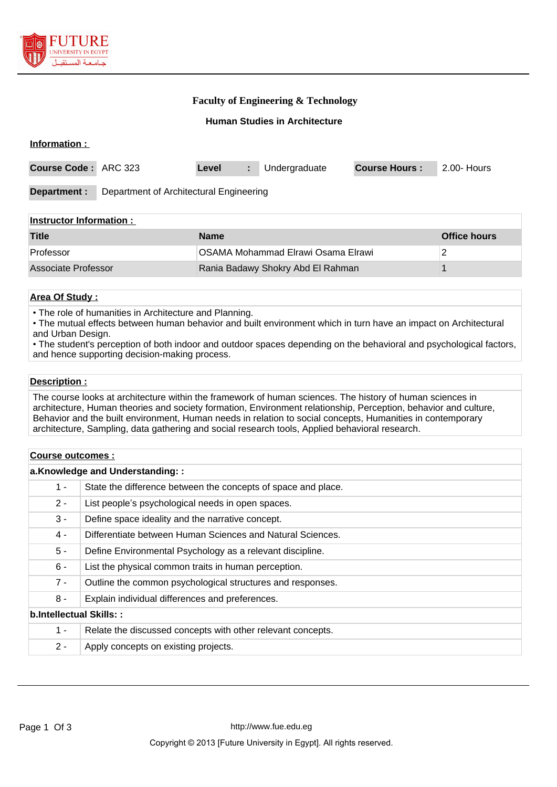

### **Faculty of Engineering & Technology**

### **Human Studies in Architecture**

| Information :                                           |  |       |    |               |                      |             |
|---------------------------------------------------------|--|-------|----|---------------|----------------------|-------------|
| Course Code: ARC 323                                    |  | Level | ÷. | Undergraduate | <b>Course Hours:</b> | 2.00- Hours |
| Department of Architectural Engineering<br>Department : |  |       |    |               |                      |             |
| <u>Instructor Information:</u>                          |  |       |    |               |                      |             |

| Title               | <b>Name</b>                        | <b>Office hours</b> |
|---------------------|------------------------------------|---------------------|
| Professor           | OSAMA Mohammad Elrawi Osama Elrawi |                     |
| Associate Professor | Rania Badawy Shokry Abd El Rahman  |                     |

### **Area Of Study :**

• The role of humanities in Architecture and Planning.

• The mutual effects between human behavior and built environment which in turn have an impact on Architectural and Urban Design.

• The student's perception of both indoor and outdoor spaces depending on the behavioral and psychological factors, and hence supporting decision-making process.

#### **Description :**

The course looks at architecture within the framework of human sciences. The history of human sciences in architecture, Human theories and society formation, Environment relationship, Perception, behavior and culture, Behavior and the built environment, Human needs in relation to social concepts, Humanities in contemporary architecture, Sampling, data gathering and social research tools, Applied behavioral research.

| Course outcomes :               |                                                               |  |  |
|---------------------------------|---------------------------------------------------------------|--|--|
| a.Knowledge and Understanding:: |                                                               |  |  |
| $1 -$                           | State the difference between the concepts of space and place. |  |  |
| $2 -$                           | List people's psychological needs in open spaces.             |  |  |
| $3 -$                           | Define space ideality and the narrative concept.              |  |  |
| 4 -                             | Differentiate between Human Sciences and Natural Sciences.    |  |  |
| $5 -$                           | Define Environmental Psychology as a relevant discipline.     |  |  |
| $6 -$                           | List the physical common traits in human perception.          |  |  |
| $7 -$                           | Outline the common psychological structures and responses.    |  |  |
| $8 -$                           | Explain individual differences and preferences.               |  |  |
| b.Intellectual Skills::         |                                                               |  |  |
| $1 -$                           | Relate the discussed concepts with other relevant concepts.   |  |  |
| $2 -$                           | Apply concepts on existing projects.                          |  |  |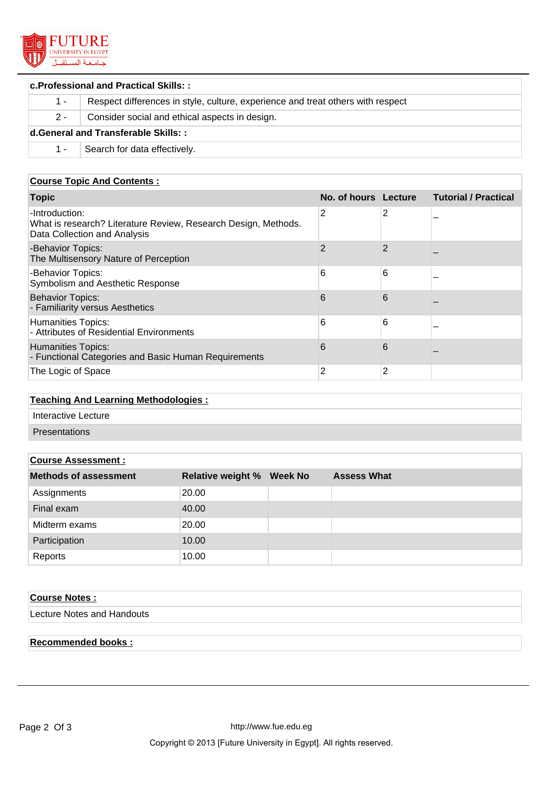

| <b>c.Professional and Practical Skills::</b> |                                                                                 |  |  |
|----------------------------------------------|---------------------------------------------------------------------------------|--|--|
| $1 -$                                        | Respect differences in style, culture, experience and treat others with respect |  |  |
| $2 -$                                        | Consider social and ethical aspects in design.                                  |  |  |
| d.General and Transferable Skills::          |                                                                                 |  |  |
| 1 -                                          | Search for data effectively.                                                    |  |  |

# **Course Topic And Contents :**

| <b>Topic</b>                                                                                                     | No. of hours Lecture |   | <b>Tutorial / Practical</b> |
|------------------------------------------------------------------------------------------------------------------|----------------------|---|-----------------------------|
| -Introduction:<br>What is research? Literature Review, Research Design, Methods.<br>Data Collection and Analysis | 2                    | 2 |                             |
| -Behavior Topics:<br>The Multisensory Nature of Perception                                                       | $\overline{2}$       | 2 |                             |
| -Behavior Topics:<br>Symbolism and Aesthetic Response                                                            | 6                    | 6 |                             |
| <b>Behavior Topics:</b><br>- Familiarity versus Aesthetics                                                       | 6                    | 6 |                             |
| Humanities Topics:<br>- Attributes of Residential Environments                                                   | 6                    | 6 |                             |
| <b>Humanities Topics:</b><br>- Functional Categories and Basic Human Requirements                                | 6                    | 6 |                             |
| The Logic of Space                                                                                               | 2                    | 2 |                             |

### **Teaching And Learning Methodologies :**

Interactive Lecture

Presentations

### **Course Assessment :**

| <u>oodi oo Addoodinont .</u> |                          |                 |                    |
|------------------------------|--------------------------|-----------------|--------------------|
| <b>Methods of assessment</b> | <b>Relative weight %</b> | <b>Week No.</b> | <b>Assess What</b> |
| Assignments                  | 20.00                    |                 |                    |
| Final exam                   | 40.00                    |                 |                    |
| Midterm exams                | 20.00                    |                 |                    |
| Participation                | 10.00                    |                 |                    |
| Reports                      | 10.00                    |                 |                    |

# **Course Notes :**

Lecture Notes and Handouts

# **Recommended books :**